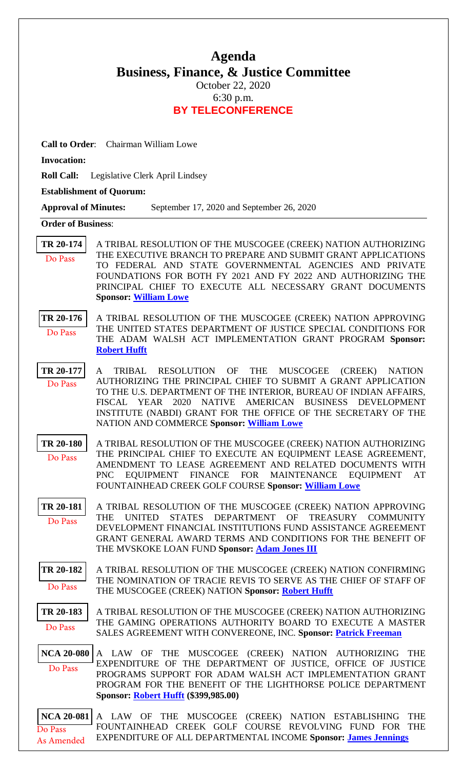# **Agenda Business, Finance, & Justice Committee**

October 22, 2020 6:30 p.m. **BY TELECONFERENCE**

**Call to Order**: Chairman William Lowe

**Invocation:** 

**Roll Call:** Legislative Clerk April Lindsey

**Establishment of Quorum:** 

**Approval of Minutes:** September 17, 2020 and September 26, 2020

### **Order of Business**:

**[TR 20-174](bills/20-174.pdf)** A TRIBAL RESOLUTION OF THE MUSCOGEE (CREEK) NATION AUTHORIZING THE EXECUTIVE BRANCH TO PREPARE AND SUBMIT GRANT APPLICATIONS TO FEDERAL AND STATE GOVERNMENTAL AGENCIES AND PRIVATE FOUNDATIONS FOR BOTH FY 2021 AND FY 2022 AND AUTHORIZING THE PRINCIPAL CHIEF TO EXECUTE ALL NECESSARY GRANT DOCUMENTS **Sponsor: [William Lowe](mailto:wlowe@mcn-nsn.gov)** Do Pass

**[TR 20-176](bills/20-176.pdf)** A TRIBAL RESOLUTION OF THE MUSCOGEE (CREEK) NATION APPROVING THE UNITED STATES DEPARTMENT OF JUSTICE SPECIAL CONDITIONS FOR THE ADAM WALSH ACT IMPLEMENTATION GRANT PROGRAM **Sponsor: [Robert Hufft](mailto:rhufft@mcn-nsn.gov)** Do Pass

**[TR 20-177](bills/20-177.pdf)** A TRIBAL RESOLUTION OF THE MUSCOGEE (CREEK) NATION AUTHORIZING THE PRINCIPAL CHIEF TO SUBMIT A GRANT APPLICATION TO THE U.S. DEPARTMENT OF THE INTERIOR, BUREAU OF INDIAN AFFAIRS, FISCAL YEAR 2020 NATIVE AMERICAN BUSINESS DEVELOPMENT INSTITUTE (NABDI) GRANT FOR THE OFFICE OF THE SECRETARY OF THE NATION AND COMMERCE **Sponsor: [William Lowe](mailto:wlowe@mcn-nsn.gov)** Do Pass

**[TR 20-180](bills/20-180.pdf)** A TRIBAL RESOLUTION OF THE MUSCOGEE (CREEK) NATION AUTHORIZING THE PRINCIPAL CHIEF TO EXECUTE AN EQUIPMENT LEASE AGREEMENT, AMENDMENT TO LEASE AGREEMENT AND RELATED DOCUMENTS WITH PNC EQUIPMENT FINANCE FOR MAINTENANCE EQUIPMENT AT FOUNTAINHEAD CREEK GOLF COURSE **Sponsor: [William Lowe](mailto:wlowe@mcn-nsn.gov)** Do Pass

**[TR 20-181](bills/20-181.pdf)** A TRIBAL RESOLUTION OF THE MUSCOGEE (CREEK) NATION APPROVING THE UNITED STATES DEPARTMENT OF TREASURY COMMUNITY DEVELOPMENT FINANCIAL INSTITUTIONS FUND ASSISTANCE AGREEMENT GRANT GENERAL AWARD TERMS AND CONDITIONS FOR THE BENEFIT OF THE MVSKOKE LOAN FUND **Sponsor: [Adam Jones III](mailto:ajones@mcn-nsn.gov)** Do Pass

**[TR 20-182](bills/20-182.pdf)** A TRIBAL RESOLUTION OF THE MUSCOGEE (CREEK) NATION CONFIRMING THE NOMINATION OF TRACIE REVIS TO SERVE AS THE CHIEF OF STAFF OF THE MUSCOGEE (CREEK) NATION **Sponsor: [Robert Hufft](mailto:rhufft@mcn-nsn.gov)** Do Pass

**[TR 20-183](bills/20-183.pdf)** A TRIBAL RESOLUTION OF THE MUSCOGEE (CREEK) NATION AUTHORIZING THE GAMING OPERATIONS AUTHORITY BOARD TO EXECUTE A MASTER SALES AGREEMENT WITH CONVEREONE, INC. **Sponsor: [Patrick Freeman](mailto:pfreeman@mcn-nsn.gov)** Do Pass

**[NCA 20-080](bills/NCA20-080.pdf)** A LAW OF THE MUSCOGEE (CREEK) NATION AUTHORIZING THE EXPENDITURE OF THE DEPARTMENT OF JUSTICE, OFFICE OF JUSTICE PROGRAMS SUPPORT FOR ADAM WALSH ACT IMPLEMENTATION GRANT PROGRAM FOR THE BENEFIT OF THE LIGHTHORSE POLICE DEPARTMENT **Sponsor: [Robert Hufft](mailto:rhufft@mcn-nsn.gov) (\$399,985.00)**  Do Pass

**[NCA 20-081](bills/NCA20-081.pdf)** A LAW OF THE MUSCOGEE (CREEK) NATION ESTABLISHING THE FOUNTAINHEAD CREEK GOLF COURSE REVOLVING FUND FOR THE EXPENDITURE OF ALL DEPARTMENTAL INCOME **Sponsor: [James Jennings](mailto:jjennings@mcn-nsn.gov)** Do Pass As Amended